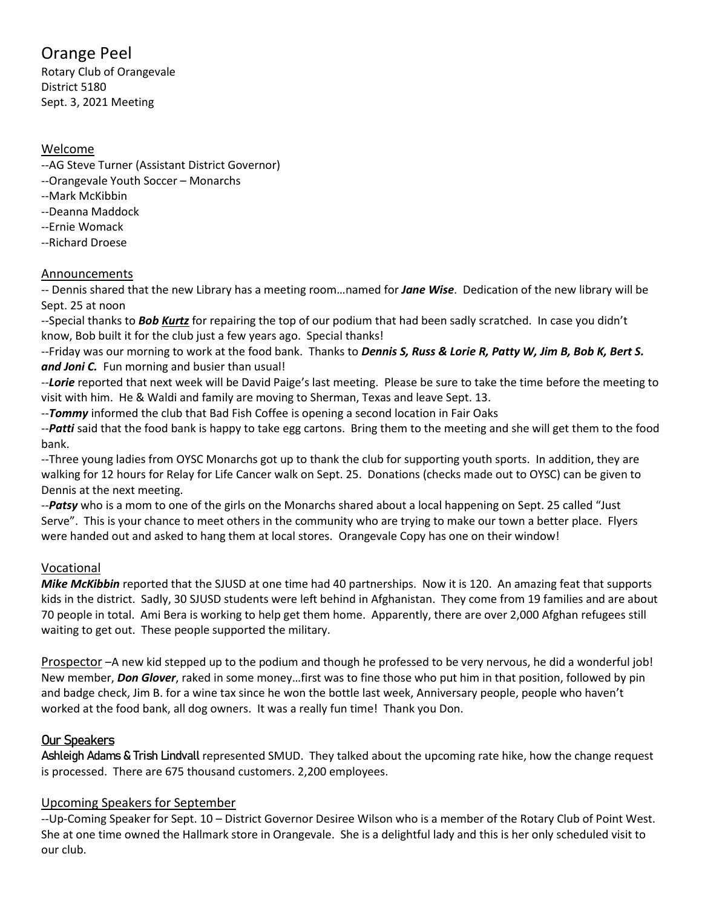# Orange Peel

Rotary Club of Orangevale District 5180 Sept. 3, 2021 Meeting

#### Welcome

- --AG Steve Turner (Assistant District Governor)
- --Orangevale Youth Soccer Monarchs
- --Mark McKibbin
- --Deanna Maddock
- --Ernie Womack
- --Richard Droese

# Announcements

-- Dennis shared that the new Library has a meeting room…named for *Jane Wise*. Dedication of the new library will be Sept. 25 at noon

--Special thanks to *Bob Kurtz* for repairing the top of our podium that had been sadly scratched. In case you didn't know, Bob built it for the club just a few years ago. Special thanks!

--Friday was our morning to work at the food bank. Thanks to *Dennis S, Russ & Lorie R, Patty W, Jim B, Bob K, Bert S. and Joni C.* Fun morning and busier than usual!

--*Lorie* reported that next week will be David Paige's last meeting. Please be sure to take the time before the meeting to visit with him. He & Waldi and family are moving to Sherman, Texas and leave Sept. 13.

--*Tommy* informed the club that Bad Fish Coffee is opening a second location in Fair Oaks

--*Patti* said that the food bank is happy to take egg cartons. Bring them to the meeting and she will get them to the food bank.

--Three young ladies from OYSC Monarchs got up to thank the club for supporting youth sports. In addition, they are walking for 12 hours for Relay for Life Cancer walk on Sept. 25. Donations (checks made out to OYSC) can be given to Dennis at the next meeting.

--*Patsy* who is a mom to one of the girls on the Monarchs shared about a local happening on Sept. 25 called "Just Serve". This is your chance to meet others in the community who are trying to make our town a better place. Flyers were handed out and asked to hang them at local stores. Orangevale Copy has one on their window!

# Vocational

*Mike McKibbin* reported that the SJUSD at one time had 40 partnerships. Now it is 120. An amazing feat that supports kids in the district. Sadly, 30 SJUSD students were left behind in Afghanistan. They come from 19 families and are about 70 people in total. Ami Bera is working to help get them home. Apparently, there are over 2,000 Afghan refugees still waiting to get out. These people supported the military.

Prospector –A new kid stepped up to the podium and though he professed to be very nervous, he did a wonderful job! New member, *Don Glover*, raked in some money…first was to fine those who put him in that position, followed by pin and badge check, Jim B. for a wine tax since he won the bottle last week, Anniversary people, people who haven't worked at the food bank, all dog owners. It was a really fun time! Thank you Don.

# Our Speakers

Ashleigh Adams & Trish Lindvall represented SMUD. They talked about the upcoming rate hike, how the change request is processed. There are 675 thousand customers. 2,200 employees.

# Upcoming Speakers for September

--Up-Coming Speaker for Sept. 10 – District Governor Desiree Wilson who is a member of the Rotary Club of Point West. She at one time owned the Hallmark store in Orangevale. She is a delightful lady and this is her only scheduled visit to our club.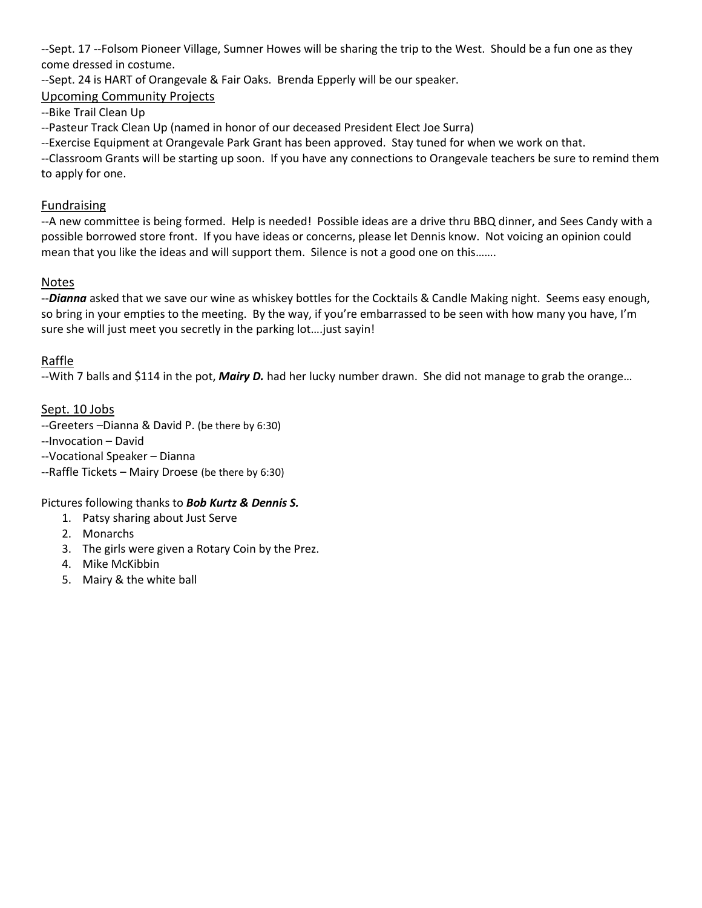--Sept. 17 --Folsom Pioneer Village, Sumner Howes will be sharing the trip to the West. Should be a fun one as they come dressed in costume.

--Sept. 24 is HART of Orangevale & Fair Oaks. Brenda Epperly will be our speaker.

# Upcoming Community Projects

--Bike Trail Clean Up

--Pasteur Track Clean Up (named in honor of our deceased President Elect Joe Surra)

--Exercise Equipment at Orangevale Park Grant has been approved. Stay tuned for when we work on that.

--Classroom Grants will be starting up soon. If you have any connections to Orangevale teachers be sure to remind them to apply for one.

#### Fundraising

--A new committee is being formed. Help is needed! Possible ideas are a drive thru BBQ dinner, and Sees Candy with a possible borrowed store front. If you have ideas or concerns, please let Dennis know. Not voicing an opinion could mean that you like the ideas and will support them. Silence is not a good one on this…….

#### Notes

--*Dianna* asked that we save our wine as whiskey bottles for the Cocktails & Candle Making night. Seems easy enough, so bring in your empties to the meeting. By the way, if you're embarrassed to be seen with how many you have, I'm sure she will just meet you secretly in the parking lot….just sayin!

#### Raffle

--With 7 balls and \$114 in the pot, *Mairy D.* had her lucky number drawn. She did not manage to grab the orange…

#### Sept. 10 Jobs

--Greeters –Dianna & David P. (be there by 6:30)

--Invocation – David

--Vocational Speaker – Dianna

--Raffle Tickets – Mairy Droese (be there by 6:30)

Pictures following thanks to *Bob Kurtz & Dennis S.*

- 1. Patsy sharing about Just Serve
- 2. Monarchs
- 3. The girls were given a Rotary Coin by the Prez.
- 4. Mike McKibbin
- 5. Mairy & the white ball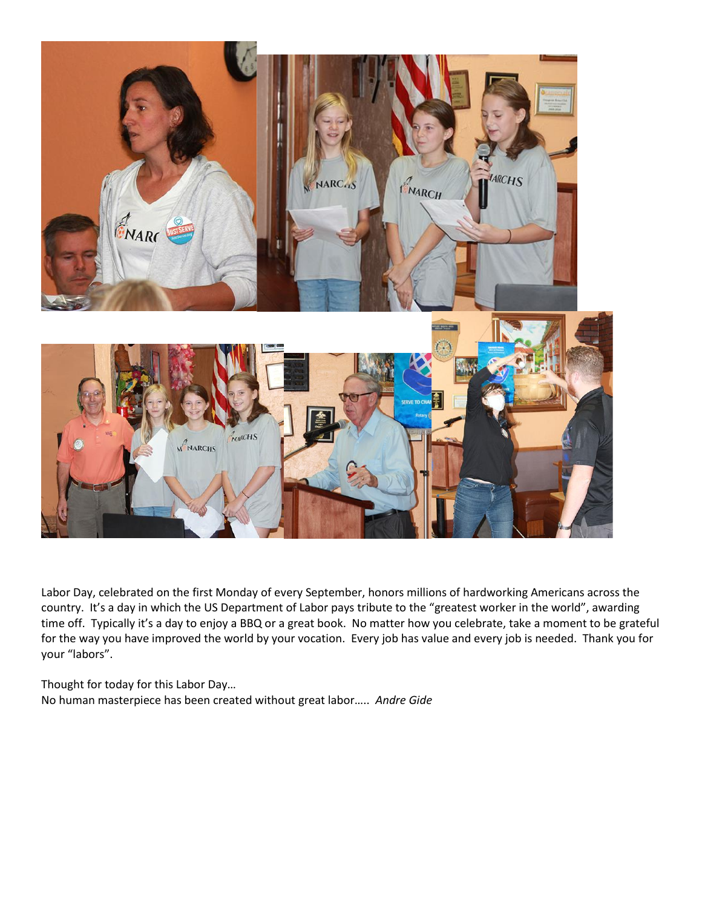

Labor Day, celebrated on the first Monday of every September, honors millions of hardworking Americans across the country. It's a day in which the US Department of Labor pays tribute to the "greatest worker in the world", awarding time off. Typically it's a day to enjoy a BBQ or a great book. No matter how you celebrate, take a moment to be grateful for the way you have improved the world by your vocation. Every job has value and every job is needed. Thank you for your "labors".

Thought for today for this Labor Day… No human masterpiece has been created without great labor….. *Andre Gide*